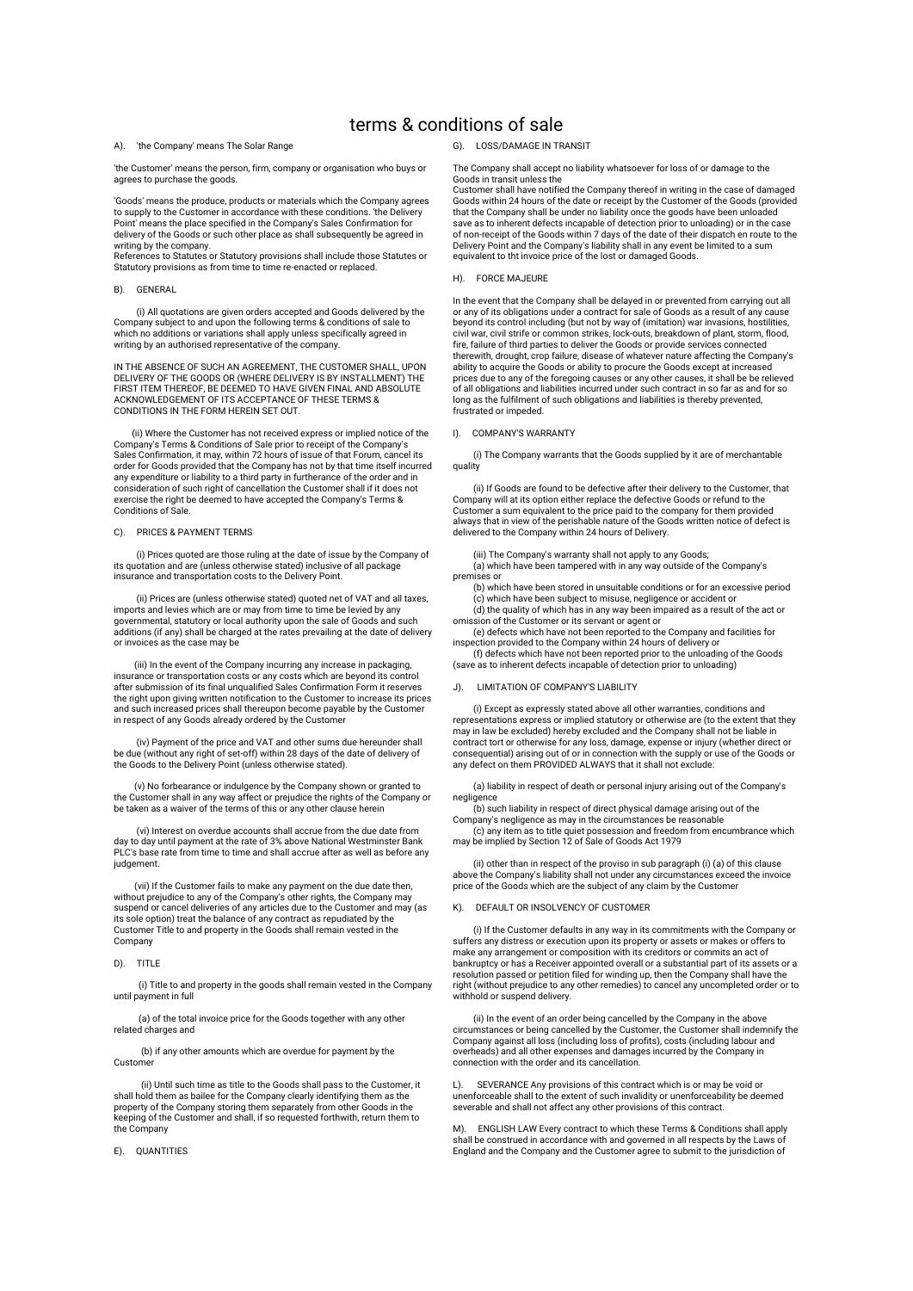# terms & conditions of sale

A). 'the Company' means The Solar Range

'the Customer' means the person, firm, company or organisation who buys or agrees to purchase the goods.

'Goods' means the produce, products or materials which the Company agrees to supply to the Customer in accordance with these conditions. 'the Delivery Point' means the place specified in the Company's Sales Confirmation for delivery of the Goods or such other place as shall subsequently be agreed in writing by the company.

References to Statutes or Statutory provisions shall include those Statutes or Statutory provisions as from time to time re-enacted or replaced.

### B). GENERAL

 (i) All quotations are given orders accepted and Goods delivered by the Company subject to and upon the following terms & conditions of sale to which no additions or variations shall apply unless specifically agreed in writting by an authorised representative of the company.

IN THE ABSENCE OF SUCH AN AGREEMENT, THE CUSTOMER SHALL, UPON DELIVERY OF THE GOODS OR (WHERE DELIVERY IS BY INSTALLMENT) THE FIRST ITEM THEREOF, BE DEEMED TO HAVE GIVEN FINAL AND ABSOLUTE ACKNOWLEDGEMENT OF ITS ACCEPTANCE OF THESE TERMS & CONDITIONS IN THE FORM HEREIN SET OUT.

 (ii) Where the Customer has not received express or implied notice of the Company's Terms & Conditions of Sale prior to receipt of the Company's Sales Confirmation, it may, within 72 hours of issue of that Forum, cancel its order for Goods provided that the Company has not by that time itself incurred any expenditure or liability to a third party in furtherance of the order and in consideration of such right of cancellation the Customer shall if it does not exercise the right be deemed to have accepted the Company's Terms & Conditions of Sale.

#### C). PRICES & PAYMENT TERMS

 (i) Prices quoted are those ruling at the date of issue by the Company of its quotation and are (unless otherwise stated) inclusive of all package insurance and transportation costs to the Delivery Point.

 (ii) Prices are (unless otherwise stated) quoted net of VAT and all taxes, imports and levies which are or may from time to time be levied by any governmental, statutory or local authority upon the sale of Goods and such additions (if any) shall be charged at the rates prevailing at the date of delivery or invoices as the case may be

 (iii) In the event of the Company incurring any increase in packaging, insurance or transportation costs or any costs which are beyond its control after submission of its final unqualified Sales Confirmation Form it reserves the right upon giving written notification to the Customer to increase its prices and such increased prices shall thereupon become payable by the Customer in respect of any Goods already ordered by the Customer

 (iv) Payment of the price and VAT and other sums due hereunder shall be due (without any right of set-off) within 28 days of the date of delivery of the Goods to the Delivery Point (unless otherwise stated).

 (v) No forbearance or indulgence by the Company shown or granted to the Customer shall in any way affect or prejudice the rights of the Company or be taken as a waiver of the terms of this or any other clause herein

 (vi) Interest on overdue accounts shall accrue from the due date from day to day until payment at the rate of 3% above National Westminster Bank PLC's base rate from time to time and shall accrue after as well as before any judgement.

 (vii) If the Customer fails to make any payment on the due date then, without prejudice to any of the Company's other rights, the Company may suspend or cancel deliveries of any articles due to the Customer and may (as its sole option) treat the balance of any contract as repudiated by the Customer Title to and property in the Goods shall remain vested in the Company

#### D). TITLE

 (i) Title to and property in the goods shall remain vested in the Company until payment in full

 (a) of the total invoice price for the Goods together with any other related charges and

 (b) if any other amounts which are overdue for payment by the Custome

 (ii) Until such time as title to the Goods shall pass to the Customer, it shall hold them as bailee for the Company clearly identifying them as the property of the Company storing them separately from other Goods in the keeping of the Customer and shall, if so requested forthwith, return them to the Company

E). QUANTITIES

#### G). LOSS/DAMAGE IN TRANSIT

The Company shall accept no liability whatsoever for loss of or damage to the Goods in transit unless the

Customer shall have notified the Company thereof in writing in the case of damaged Goods within 24 hours of the date or receipt by the Customer of the Goods (provided that the Company shall be under no liability once the goods have been unloaded save as to inherent defects incapable of detection prior to unloading) or in the case of non-receipt of the Goods within 7 days of the date of their dispatch en route to the Delivery Point and the Company's liability shall in any event be limited to a sum equivalent to tht invoice price of the lost or damaged Goods.

#### H). FORCE MAJEURE

In the event that the Company shall be delayed in or prevented from carrying out all or any of its obligations under a contract for sale of Goods as a result of any cause beyond its control including (but not by way of (imitation) war invasions, hostilities,<br>civil war, civil strife or common strikes, lock-outs, breakdown of plant, storm, flood,<br>fire, failure of third parties to deliver the therewith, drought, crop failure, disease of whatever nature affecting the Company's ability to acquire the Goods or ability to procure the Goods except at increased prices due to any of the foregoing causes or any other causes, it shall be be relieved of all obligations and liabilities incurred under such contract in so far as and for so long as the fulfilment of such obligations and liabilities is thereby prevented, frustrated or impeded.

#### I). COMPANY'S WARRANTY

 (i) The Company warrants that the Goods supplied by it are of merchantable quality

 (ii) If Goods are found to be defective after their delivery to the Customer, that Company will at its option either replace the defective Goods or refund to the Customer a sum equivalent to the price paid to the company for them provided always that in view of the perishable nature of the Goods written notice of defect is delivered to the Company within 24 hours of Delivery.

 (iii) The Company's warranty shall not apply to any Goods; (a) which have been tampered with in any way outside of the Company's premises or

 (b) which have been stored in unsuitable conditions or for an excessive period (c) which have been subject to misuse, negligence or accident or (d) the quality of which has in any way been impaired as a result of the act or omission of the Customer or its servant or agent or

 (e) defects which have not been reported to the Company and facilities for inspection provided to the Company within 24 hours of delivery or (f) defects which have not been reported prior to the unloading of the Goods

(save as to inherent defects incapable of detection prior to unloading)

#### LIMITATION OF COMPANY'S LIABILITY

 (i) Except as expressly stated above all other warranties, conditions and representations express or implied statutory or otherwise are (to the extent that they may in law be excluded) hereby excluded and the Company shall not be liable in contract tort or otherwise for any loss, damage, expense or injury (whether direct or consequential) arising out of or in connection with the supply or use of the Goods or any defect on them PROVIDED ALWAYS that it shall not exclude

 (a) liability in respect of death or personal injury arising out of the Company's negligence (b) such liability in respect of direct physical damage arising out of the

Company's negligence as may in the circumstances be reasonable (c) any item as to title quiet possession and freedom from encumbrance which may be implied by Section 12 of Sale of Goods Act 1979

 (ii) other than in respect of the proviso in sub paragraph (i) (a) of this clause above the Company's liability shall not under any circumstances exceed the invoice price of the Goods which are the subject of any claim by the Customer

#### K). DEFAULT OR INSOLVENCY OF CUSTOMER

 (i) If the Customer defaults in any way in its commitments with the Company or suffers any distress or execution upon its property or assets or makes or offers to make any arrangement or composition with its creditors or commits an act of bankruptcy or has a Receiver appointed overall or a substantial part of its assets or a resolution passed or petition filed for winding up, then the Company shall have the right (without prejudice to any other remedies) to cancel any uncompleted order or to withhold or suspend delivery

 (ii) In the event of an order being cancelled by the Company in the above circumstances or being cancelled by the Customer, the Customer shall indemnify the Company against all loss (including loss of profits), costs (including labour and overheads) and all other expenses and damages incurred by the Company in connection with the order and its cancellation.

L). SEVERANCE Any provisions of this contract which is or may be void or unenforceable shall to the extent of such invalidity or unenforceability be deemed severable and shall not affect any other provisions of this contract.

M). ENGLISH LAW Every contract to which these Terms & Conditions shall apply shall be construed in accordance with and governed in all respects by the Laws of England and the Company and the Customer agree to submit to the jurisdiction of